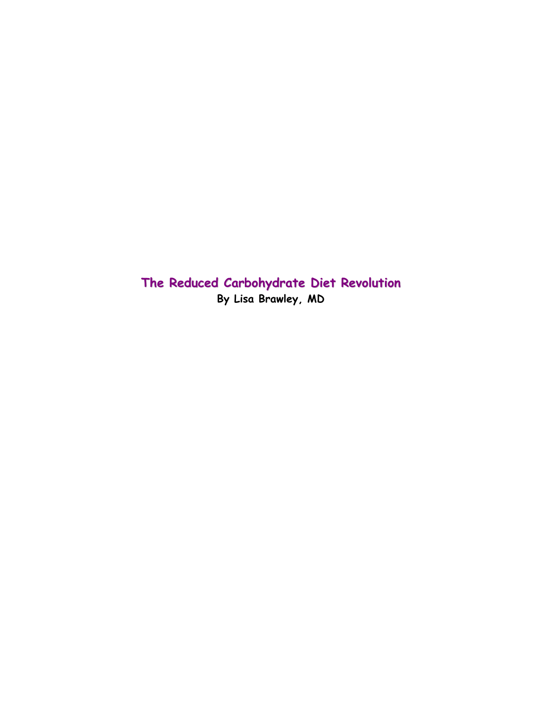**The Reduced Carbohydrate Diet Revolution By Lisa Brawley, MD**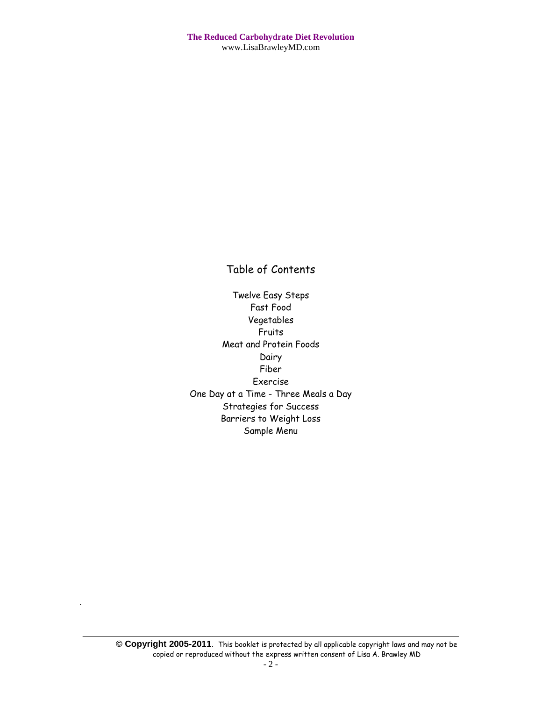## Table of Contents

Twelve Easy Steps Fast Food Vegetables Fruits Meat and Protein Foods Dairy Fiber Exercise One Day at a Time - Three Meals a Day Strategies for Success Barriers to Weight Loss Sample Menu

.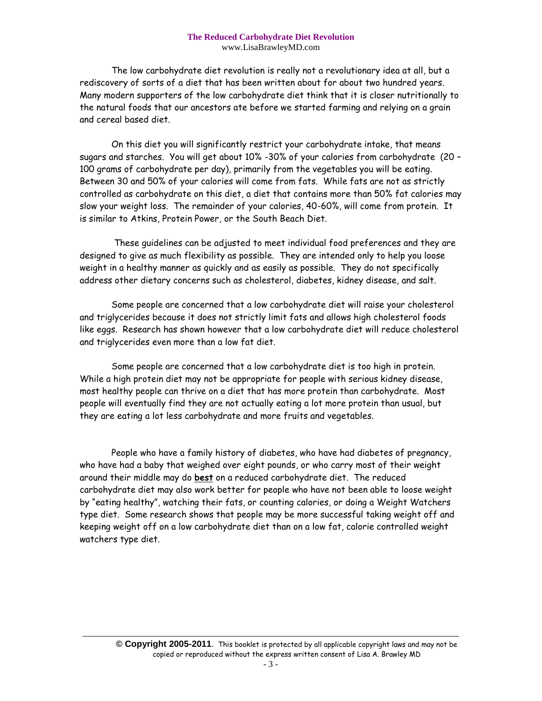The low carbohydrate diet revolution is really not a revolutionary idea at all, but a rediscovery of sorts of a diet that has been written about for about two hundred years. Many modern supporters of the low carbohydrate diet think that it is closer nutritionally to the natural foods that our ancestors ate before we started farming and relying on a grain and cereal based diet.

On this diet you will significantly restrict your carbohydrate intake, that means sugars and starches. You will get about 10% -30% of your calories from carbohydrate (20 – 100 grams of carbohydrate per day), primarily from the vegetables you will be eating. Between 30 and 50% of your calories will come from fats. While fats are not as strictly controlled as carbohydrate on this diet, a diet that contains more than 50% fat calories may slow your weight loss. The remainder of your calories, 40-60%, will come from protein. It is similar to Atkins, Protein Power, or the South Beach Diet.

These guidelines can be adjusted to meet individual food preferences and they are designed to give as much flexibility as possible. They are intended only to help you loose weight in a healthy manner as quickly and as easily as possible. They do not specifically address other dietary concerns such as cholesterol, diabetes, kidney disease, and salt.

Some people are concerned that a low carbohydrate diet will raise your cholesterol and triglycerides because it does not strictly limit fats and allows high cholesterol foods like eggs. Research has shown however that a low carbohydrate diet will reduce cholesterol and triglycerides even more than a low fat diet.

Some people are concerned that a low carbohydrate diet is too high in protein. While a high protein diet may not be appropriate for people with serious kidney disease, most healthy people can thrive on a diet that has more protein than carbohydrate. Most people will eventually find they are not actually eating a lot more protein than usual, but they are eating a lot less carbohydrate and more fruits and vegetables.

People who have a family history of diabetes, who have had diabetes of pregnancy, who have had a baby that weighed over eight pounds, or who carry most of their weight around their middle may do **best** on a reduced carbohydrate diet. The reduced carbohydrate diet may also work better for people who have not been able to loose weight by "eating healthy", watching their fats, or counting calories, or doing a Weight Watchers type diet. Some research shows that people may be more successful taking weight off and keeping weight off on a low carbohydrate diet than on a low fat, calorie controlled weight watchers type diet.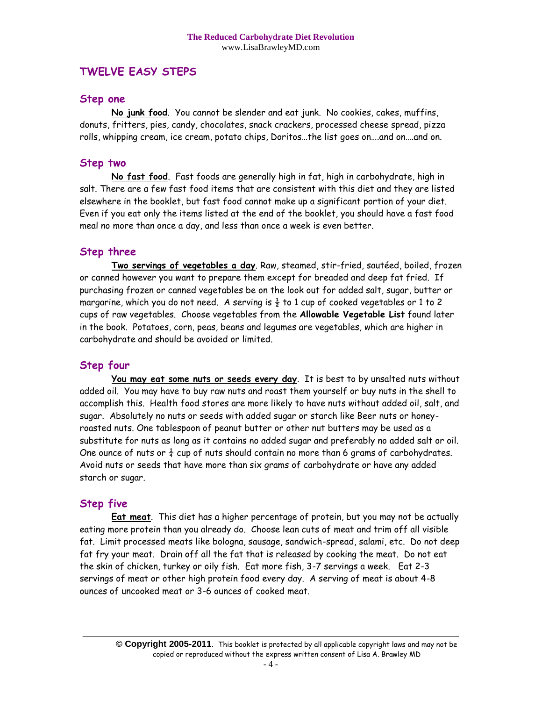## **TWELVE EASY STEPS**

#### **Step one**

**No junk food**. You cannot be slender and eat junk. No cookies, cakes, muffins, donuts, fritters, pies, candy, chocolates, snack crackers, processed cheese spread, pizza rolls, whipping cream, ice cream, potato chips, Doritos…the list goes on….and on….and on.

#### **Step two**

**No fast food**. Fast foods are generally high in fat, high in carbohydrate, high in salt. There are a few fast food items that are consistent with this diet and they are listed elsewhere in the booklet, but fast food cannot make up a significant portion of your diet. Even if you eat only the items listed at the end of the booklet, you should have a fast food meal no more than once a day, and less than once a week is even better.

#### **Step three**

**Two servings of vegetables a day**. Raw, steamed, stir-fried, sautéed, boiled, frozen or canned however you want to prepare them except for breaded and deep fat fried. If purchasing frozen or canned vegetables be on the look out for added salt, sugar, butter or margarine, which you do not need. A serving is  $\frac{1}{2}$  to 1 cup of cooked vegetables or 1 to 2 cups of raw vegetables. Choose vegetables from the **Allowable Vegetable List** found later in the book. Potatoes, corn, peas, beans and legumes are vegetables, which are higher in carbohydrate and should be avoided or limited.

#### **Step four**

**You may eat some nuts or seeds every day**. It is best to by unsalted nuts without added oil. You may have to buy raw nuts and roast them yourself or buy nuts in the shell to accomplish this. Health food stores are more likely to have nuts without added oil, salt, and sugar. Absolutely no nuts or seeds with added sugar or starch like Beer nuts or honeyroasted nuts. One tablespoon of peanut butter or other nut butters may be used as a substitute for nuts as long as it contains no added sugar and preferably no added salt or oil. One ounce of nuts or  $\frac{1}{4}$  cup of nuts should contain no more than 6 grams of carbohydrates. Avoid nuts or seeds that have more than six grams of carbohydrate or have any added starch or sugar.

#### **Step five**

**Eat meat**. This diet has a higher percentage of protein, but you may not be actually eating more protein than you already do. Choose lean cuts of meat and trim off all visible fat. Limit processed meats like bologna, sausage, sandwich-spread, salami, etc. Do not deep fat fry your meat. Drain off all the fat that is released by cooking the meat. Do not eat the skin of chicken, turkey or oily fish. Eat more fish, 3-7 servings a week. Eat 2-3 servings of meat or other high protein food every day. A serving of meat is about 4-8 ounces of uncooked meat or 3-6 ounces of cooked meat.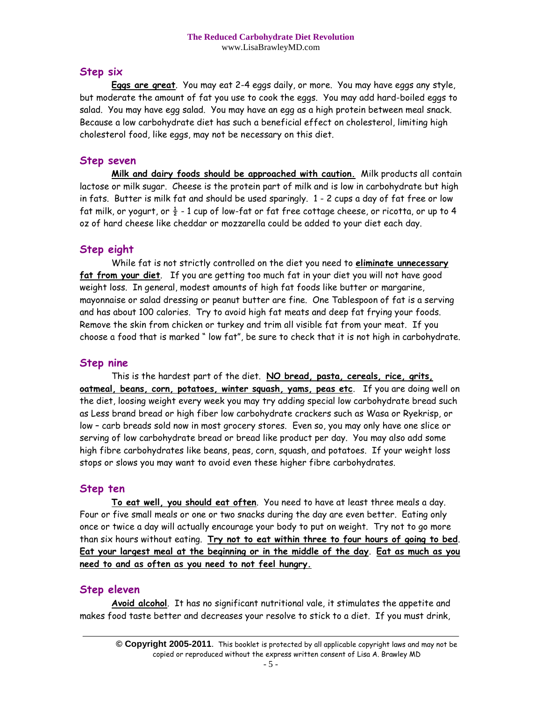### **Step six**

**Eggs are great**. You may eat 2-4 eggs daily, or more. You may have eggs any style, but moderate the amount of fat you use to cook the eggs. You may add hard-boiled eggs to salad. You may have egg salad. You may have an egg as a high protein between meal snack. Because a low carbohydrate diet has such a beneficial effect on cholesterol, limiting high cholesterol food, like eggs, may not be necessary on this diet.

#### **Step seven**

**Milk and dairy foods should be approached with caution.** Milk products all contain lactose or milk sugar. Cheese is the protein part of milk and is low in carbohydrate but high in fats. Butter is milk fat and should be used sparingly. 1 - 2 cups a day of fat free or low fat milk, or yogurt, or  $\frac{1}{2}$  - 1 cup of low-fat or fat free cottage cheese, or ricotta, or up to 4 oz of hard cheese like cheddar or mozzarella could be added to your diet each day.

### **Step eight**

While fat is not strictly controlled on the diet you need to **eliminate unnecessary fat from your diet**. If you are getting too much fat in your diet you will not have good weight loss. In general, modest amounts of high fat foods like butter or margarine, mayonnaise or salad dressing or peanut butter are fine. One Tablespoon of fat is a serving and has about 100 calories. Try to avoid high fat meats and deep fat frying your foods. Remove the skin from chicken or turkey and trim all visible fat from your meat. If you choose a food that is marked " low fat", be sure to check that it is not high in carbohydrate.

#### **Step nine**

This is the hardest part of the diet. **NO bread, pasta, cereals, rice, grits, oatmeal, beans, corn, potatoes, winter squash, yams, peas etc**. If you are doing well on the diet, loosing weight every week you may try adding special low carbohydrate bread such as Less brand bread or high fiber low carbohydrate crackers such as Wasa or Ryekrisp, or low – carb breads sold now in most grocery stores. Even so, you may only have one slice or serving of low carbohydrate bread or bread like product per day. You may also add some high fibre carbohydrates like beans, peas, corn, squash, and potatoes. If your weight loss stops or slows you may want to avoid even these higher fibre carbohydrates.

#### **Step ten**

**To eat well, you should eat often**. You need to have at least three meals a day. Four or five small meals or one or two snacks during the day are even better. Eating only once or twice a day will actually encourage your body to put on weight. Try not to go more than six hours without eating. **Try not to eat within three to four hours of going to bed**. **Eat your largest meal at the beginning or in the middle of the day**. **Eat as much as you need to and as often as you need to not feel hungry.**

#### **Step eleven**

**Avoid alcohol**. It has no significant nutritional vale, it stimulates the appetite and makes food taste better and decreases your resolve to stick to a diet. If you must drink,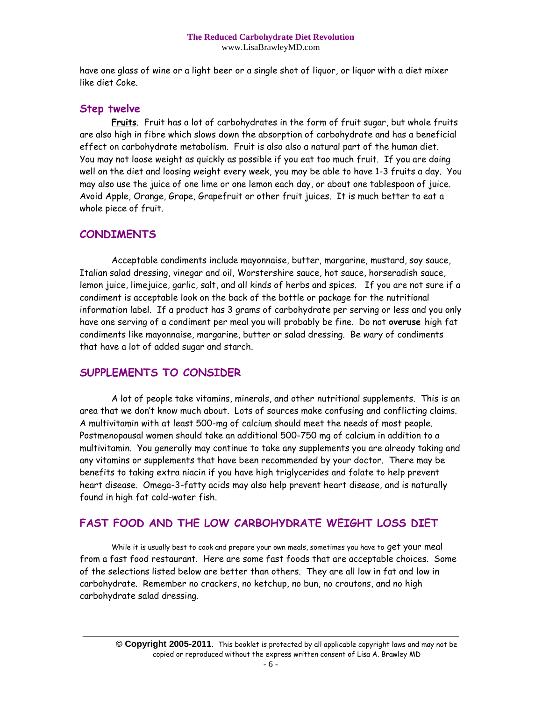have one glass of wine or a light beer or a single shot of liquor, or liquor with a diet mixer like diet Coke.

#### **Step twelve**

**Fruits**. Fruit has a lot of carbohydrates in the form of fruit sugar, but whole fruits are also high in fibre which slows down the absorption of carbohydrate and has a beneficial effect on carbohydrate metabolism. Fruit is also also a natural part of the human diet. You may not loose weight as quickly as possible if you eat too much fruit. If you are doing well on the diet and loosing weight every week, you may be able to have 1-3 fruits a day. You may also use the juice of one lime or one lemon each day, or about one tablespoon of juice. Avoid Apple, Orange, Grape, Grapefruit or other fruit juices. It is much better to eat a whole piece of fruit.

## **CONDIMENTS**

Acceptable condiments include mayonnaise, butter, margarine, mustard, soy sauce, Italian salad dressing, vinegar and oil, Worstershire sauce, hot sauce, horseradish sauce, lemon juice, limejuice, garlic, salt, and all kinds of herbs and spices. If you are not sure if a condiment is acceptable look on the back of the bottle or package for the nutritional information label. If a product has 3 grams of carbohydrate per serving or less and you only have one serving of a condiment per meal you will probably be fine. Do not **overuse** high fat condiments like mayonnaise, margarine, butter or salad dressing. Be wary of condiments that have a lot of added sugar and starch.

## **SUPPLEMENTS TO CONSIDER**

A lot of people take vitamins, minerals, and other nutritional supplements. This is an area that we don't know much about. Lots of sources make confusing and conflicting claims. A multivitamin with at least 500-mg of calcium should meet the needs of most people. Postmenopausal women should take an additional 500-750 mg of calcium in addition to a multivitamin. You generally may continue to take any supplements you are already taking and any vitamins or supplements that have been recommended by your doctor. There may be benefits to taking extra niacin if you have high triglycerides and folate to help prevent heart disease. Omega-3-fatty acids may also help prevent heart disease, and is naturally found in high fat cold-water fish.

## **FAST FOOD AND THE LOW CARBOHYDRATE WEIGHT LOSS DIET**

While it is usually best to cook and prepare your own meals, sometimes you have to get your meal from a fast food restaurant. Here are some fast foods that are acceptable choices. Some of the selections listed below are better than others. They are all low in fat and low in carbohydrate. Remember no crackers, no ketchup, no bun, no croutons, and no high carbohydrate salad dressing.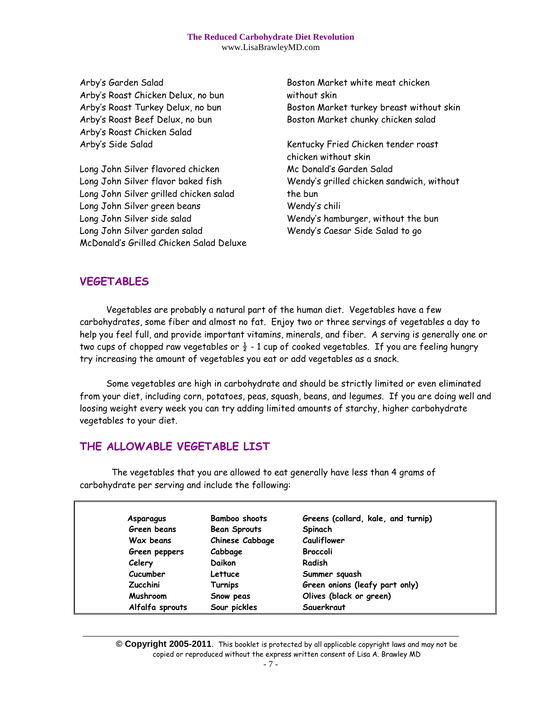Arby's Garden Salad Arby's Roast Chicken Delux, no bun Arby's Roast Turkey Delux, no bun Arby's Roast Beef Delux, no bun Arby's Roast Chicken Salad Arby's Side Salad

Long John Silver flavored chicken Long John Silver flavor baked fish Long John Silver grilled chicken salad Long John Silver green beans Long John Silver side salad Long John Silver garden salad McDonald's Grilled Chicken Salad Deluxe Boston Market white meat chicken without skin Boston Market turkey breast without skin Boston Market chunky chicken salad

Kentucky Fried Chicken tender roast chicken without skin Mc Donald's Garden Salad Wendy's grilled chicken sandwich, without the bun Wendy's chili Wendy's hamburger, without the bun Wendy's Caesar Side Salad to go

## **VEGETABLES**

 Vegetables are probably a natural part of the human diet. Vegetables have a few carbohydrates, some fiber and almost no fat. Enjoy two or three servings of vegetables a day to help you feel full, and provide important vitamins, minerals, and fiber. A serving is generally one or two cups of chopped raw vegetables or  $\frac{1}{2}$  - 1 cup of cooked vegetables. If you are feeling hungry try increasing the amount of vegetables you eat or add vegetables as a snack.

 Some vegetables are high in carbohydrate and should be strictly limited or even eliminated from your diet, including corn, potatoes, peas, squash, beans, and legumes. If you are doing well and loosing weight every week you can try adding limited amounts of starchy, higher carbohydrate vegetables to your diet.

## **THE ALLOWABLE VEGETABLE LIST**

The vegetables that you are allowed to eat generally have less than 4 grams of carbohydrate per serving and include the following:

| Asparagus       | <b>Bamboo shoots</b> | Greens (collard, kale, and turnip) |
|-----------------|----------------------|------------------------------------|
| Green beans     | <b>Bean Sprouts</b>  | Spinach                            |
| Wax beans       | Chinese Cabbage      | Cauliflower                        |
| Green peppers   | Cabbage              | <b>Broccoli</b>                    |
| Celery          | Daikon               | Radish                             |
| Cucumber        | Lettuce              | Summer squash                      |
| <b>Zucchini</b> | Turnips              | Green onions (leafy part only)     |
| Mushroom        | Snow peas            | Olives (black or green)            |
| Alfalfa sprouts | Sour pickles         | Sauerkraut                         |

**© Copyright 2005-2011**. This booklet is protected by all applicable copyright laws and may not be copied or reproduced without the express written consent of Lisa A. Brawley MD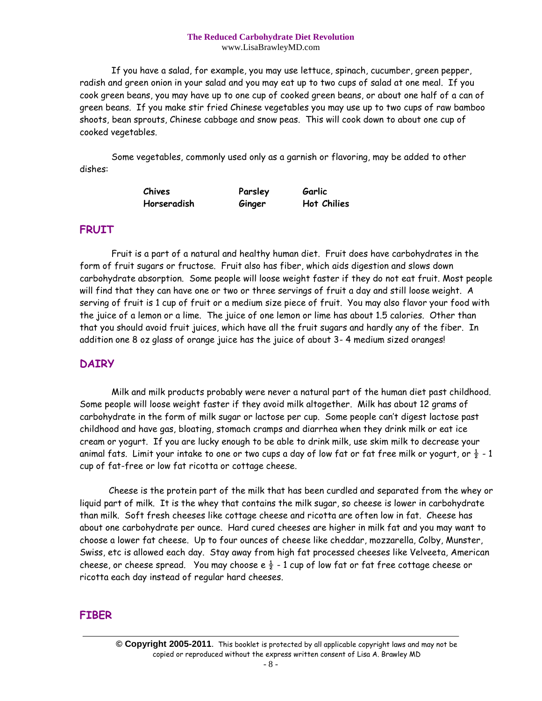If you have a salad, for example, you may use lettuce, spinach, cucumber, green pepper, radish and green onion in your salad and you may eat up to two cups of salad at one meal. If you cook green beans, you may have up to one cup of cooked green beans, or about one half of a can of green beans. If you make stir fried Chinese vegetables you may use up to two cups of raw bamboo shoots, bean sprouts, Chinese cabbage and snow peas. This will cook down to about one cup of cooked vegetables.

Some vegetables, commonly used only as a garnish or flavoring, may be added to other dishes:

| Chives      | Parsley | Garlic             |
|-------------|---------|--------------------|
| Horseradish | Ginger  | <b>Hot Chilies</b> |

### **FRUIT**

 Fruit is a part of a natural and healthy human diet. Fruit does have carbohydrates in the form of fruit sugars or fructose. Fruit also has fiber, which aids digestion and slows down carbohydrate absorption. Some people will loose weight faster if they do not eat fruit. Most people will find that they can have one or two or three servings of fruit a day and still loose weight. A serving of fruit is 1 cup of fruit or a medium size piece of fruit. You may also flavor your food with the juice of a lemon or a lime. The juice of one lemon or lime has about 1.5 calories. Other than that you should avoid fruit juices, which have all the fruit sugars and hardly any of the fiber. In addition one 8 oz glass of orange juice has the juice of about 3- 4 medium sized oranges!

#### **DAIRY**

Milk and milk products probably were never a natural part of the human diet past childhood. Some people will loose weight faster if they avoid milk altogether. Milk has about 12 grams of carbohydrate in the form of milk sugar or lactose per cup. Some people can't digest lactose past childhood and have gas, bloating, stomach cramps and diarrhea when they drink milk or eat ice cream or yogurt. If you are lucky enough to be able to drink milk, use skim milk to decrease your animal fats. Limit your intake to one or two cups a day of low fat or fat free milk or yogurt, or  $\frac{1}{2}$  - 1 cup of fat-free or low fat ricotta or cottage cheese.

 Cheese is the protein part of the milk that has been curdled and separated from the whey or liquid part of milk. It is the whey that contains the milk sugar, so cheese is lower in carbohydrate than milk. Soft fresh cheeses like cottage cheese and ricotta are often low in fat. Cheese has about one carbohydrate per ounce. Hard cured cheeses are higher in milk fat and you may want to choose a lower fat cheese. Up to four ounces of cheese like cheddar, mozzarella, Colby, Munster, Swiss, etc is allowed each day. Stay away from high fat processed cheeses like Velveeta, American cheese, or cheese spread. You may choose e  $\frac{1}{2}$  - 1 cup of low fat or fat free cottage cheese or ricotta each day instead of regular hard cheeses.

## **FIBER**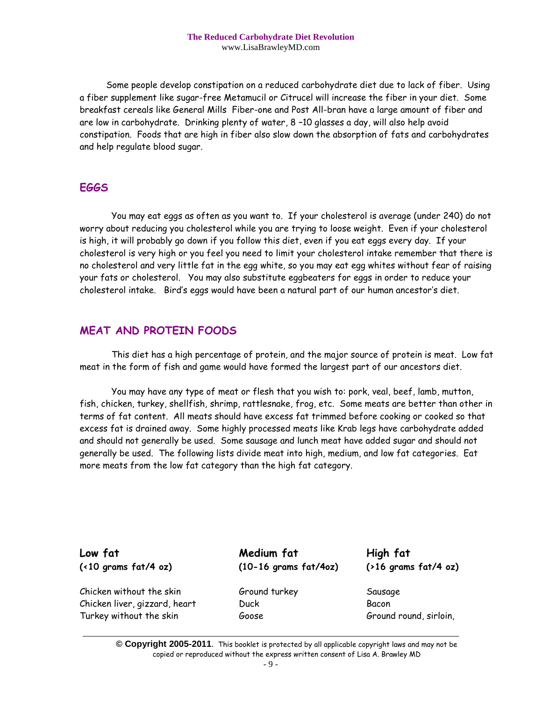Some people develop constipation on a reduced carbohydrate diet due to lack of fiber. Using a fiber supplement like sugar-free Metamucil or Citrucel will increase the fiber in your diet. Some breakfast cereals like General Mills Fiber-one and Post All-bran have a large amount of fiber and are low in carbohydrate. Drinking plenty of water, 8 –10 glasses a day, will also help avoid constipation. Foods that are high in fiber also slow down the absorption of fats and carbohydrates and help regulate blood sugar.

### **EGGS**

You may eat eggs as often as you want to. If your cholesterol is average (under 240) do not worry about reducing you cholesterol while you are trying to loose weight. Even if your cholesterol is high, it will probably go down if you follow this diet, even if you eat eggs every day. If your cholesterol is very high or you feel you need to limit your cholesterol intake remember that there is no cholesterol and very little fat in the egg white, so you may eat egg whites without fear of raising your fats or cholesterol. You may also substitute eggbeaters for eggs in order to reduce your cholesterol intake. Bird's eggs would have been a natural part of our human ancestor's diet.

## **MEAT AND PROTEIN FOODS**

This diet has a high percentage of protein, and the major source of protein is meat. Low fat meat in the form of fish and game would have formed the largest part of our ancestors diet.

You may have any type of meat or flesh that you wish to: pork, veal, beef, lamb, mutton, fish, chicken, turkey, shellfish, shrimp, rattlesnake, frog, etc. Some meats are better than other in terms of fat content. All meats should have excess fat trimmed before cooking or cooked so that excess fat is drained away. Some highly processed meats like Krab legs have carbohydrate added and should not generally be used. Some sausage and lunch meat have added sugar and should not generally be used. The following lists divide meat into high, medium, and low fat categories. Eat more meats from the low fat category than the high fat category.

Chicken without the skin Ground turkey Sausage Chicken liver, gizzard, heart Duck Bacon Turkey without the skin Goose Ground round, sirloin,

**Low fat Medium fat High fat (<10 grams fat/4 oz) (10-16 grams fat/4oz) (>16 grams fat/4 oz)**

**© Copyright 2005-2011**. This booklet is protected by all applicable copyright laws and may not be copied or reproduced without the express written consent of Lisa A. Brawley MD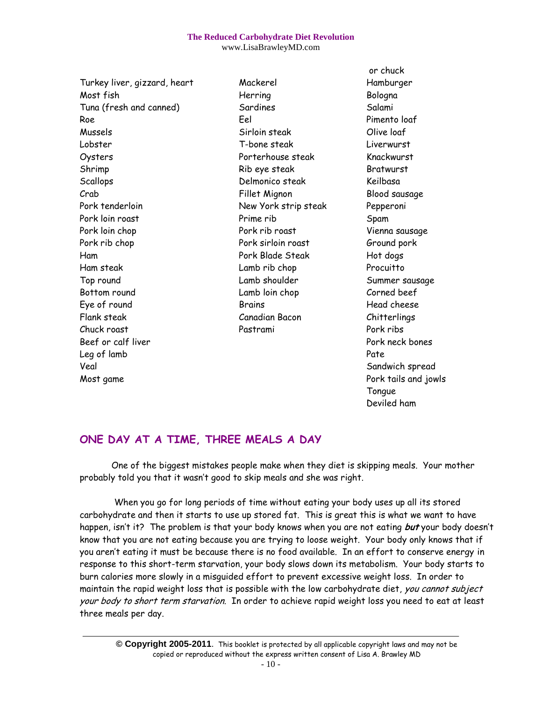#### **The Reduced Carbohydrate Diet Revolution**

www.LisaBrawleyMD.com

Most fish **Herring Herring** Bologna Tuna (fresh and canned) Sardines Salami Roe Eel Pimento loaf Mussels Sirloin steak Olive loaf Lobster T-bone steak Liverwurst Oysters Porterhouse steak Knackwurst Shrimp Rib eye steak Bratwurst Scallops Delmonico steak Keilbasa Crab Fillet Mignon Blood sausage Pork tenderloin New York strip steak Pepperoni Pork loin roast **Prime rib** Prime rib Spam Pork loin chop Pork rib roast Vienna sausage Pork rib chop **Pork sirloin roast** Ground pork Ham Pork Blade Steak Hot dogs Ham steak Lamb rib chop Procuitto Top round and Lamb shoulder Summer sausage Summer sausage Bottom round Lamb loin chop Corned beef Eye of round Fig. 2014 Brains Fig. 2016 and the Brains Head cheese Flank steak Canadian Bacon Chitterlings Chuck roast Pastrami Pork ribs Beef or calf liver **Portage and Contact Bones** Pork neck bones Leg of lamb Pate Veal **Sandwich spread** Sandwich spread Sandwich spread Sandwich spread Sandwich spread Sandwich spread Sandwich spread Sandwich spread Sandwich spread Sandwich spread Sandwich spread Sandwich spread Sandwich spread Sandwic Most game Pork tails and jowls

Turkey liver, gizzard, heart Mackerel Hamburger

or chuck Tongue Deviled ham

# **ONE DAY AT A TIME, THREE MEALS A DAY**

One of the biggest mistakes people make when they diet is skipping meals. Your mother probably told you that it wasn't good to skip meals and she was right.

When you go for long periods of time without eating your body uses up all its stored carbohydrate and then it starts to use up stored fat. This is great this is what we want to have happen, isn't it? The problem is that your body knows when you are not eating **but** your body doesn't know that you are not eating because you are trying to loose weight. Your body only knows that if you aren't eating it must be because there is no food available. In an effort to conserve energy in response to this short-term starvation, your body slows down its metabolism. Your body starts to burn calories more slowly in a misguided effort to prevent excessive weight loss. In order to maintain the rapid weight loss that is possible with the low carbohydrate diet, you cannot subject your body to short term starvation. In order to achieve rapid weight loss you need to eat at least three meals per day.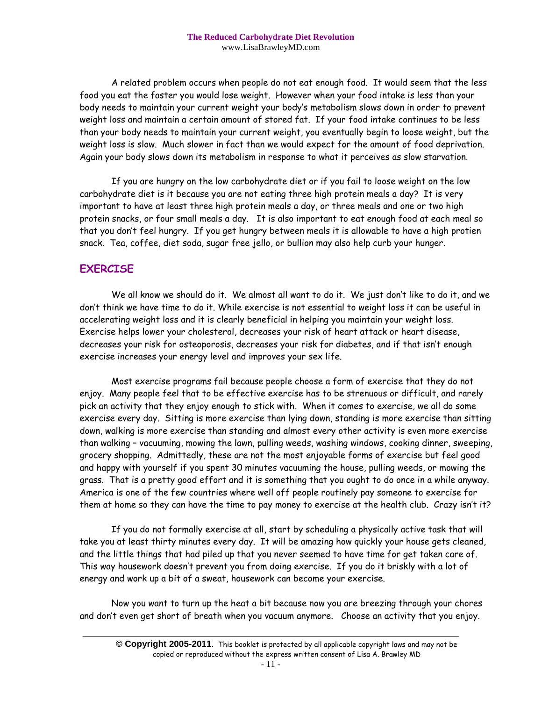A related problem occurs when people do not eat enough food. It would seem that the less food you eat the faster you would lose weight. However when your food intake is less than your body needs to maintain your current weight your body's metabolism slows down in order to prevent weight loss and maintain a certain amount of stored fat. If your food intake continues to be less than your body needs to maintain your current weight, you eventually begin to loose weight, but the weight loss is slow. Much slower in fact than we would expect for the amount of food deprivation. Again your body slows down its metabolism in response to what it perceives as slow starvation.

If you are hungry on the low carbohydrate diet or if you fail to loose weight on the low carbohydrate diet is it because you are not eating three high protein meals a day? It is very important to have at least three high protein meals a day, or three meals and one or two high protein snacks, or four small meals a day. It is also important to eat enough food at each meal so that you don't feel hungry. If you get hungry between meals it is allowable to have a high protien snack. Tea, coffee, diet soda, sugar free jello, or bullion may also help curb your hunger.

## **EXERCISE**

We all know we should do it. We almost all want to do it. We just don't like to do it, and we don't think we have time to do it. While exercise is not essential to weight loss it can be useful in accelerating weight loss and it is clearly beneficial in helping you maintain your weight loss. Exercise helps lower your cholesterol, decreases your risk of heart attack or heart disease, decreases your risk for osteoporosis, decreases your risk for diabetes, and if that isn't enough exercise increases your energy level and improves your sex life.

Most exercise programs fail because people choose a form of exercise that they do not enjoy. Many people feel that to be effective exercise has to be strenuous or difficult, and rarely pick an activity that they enjoy enough to stick with. When it comes to exercise, we all do some exercise every day. Sitting is more exercise than lying down, standing is more exercise than sitting down, walking is more exercise than standing and almost every other activity is even more exercise than walking – vacuuming, mowing the lawn, pulling weeds, washing windows, cooking dinner, sweeping, grocery shopping. Admittedly, these are not the most enjoyable forms of exercise but feel good and happy with yourself if you spent 30 minutes vacuuming the house, pulling weeds, or mowing the grass. That is a pretty good effort and it is something that you ought to do once in a while anyway. America is one of the few countries where well off people routinely pay someone to exercise for them at home so they can have the time to pay money to exercise at the health club. Crazy isn't it?

If you do not formally exercise at all, start by scheduling a physically active task that will take you at least thirty minutes every day. It will be amazing how quickly your house gets cleaned, and the little things that had piled up that you never seemed to have time for get taken care of. This way housework doesn't prevent you from doing exercise. If you do it briskly with a lot of energy and work up a bit of a sweat, housework can become your exercise.

Now you want to turn up the heat a bit because now you are breezing through your chores and don't even get short of breath when you vacuum anymore. Choose an activity that you enjoy.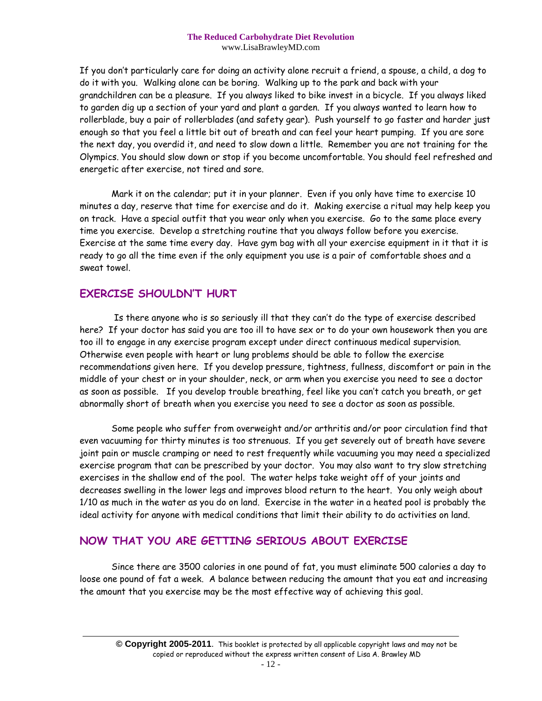If you don't particularly care for doing an activity alone recruit a friend, a spouse, a child, a dog to do it with you. Walking alone can be boring. Walking up to the park and back with your grandchildren can be a pleasure. If you always liked to bike invest in a bicycle. If you always liked to garden dig up a section of your yard and plant a garden. If you always wanted to learn how to rollerblade, buy a pair of rollerblades (and safety gear). Push yourself to go faster and harder just enough so that you feel a little bit out of breath and can feel your heart pumping. If you are sore the next day, you overdid it, and need to slow down a little. Remember you are not training for the Olympics. You should slow down or stop if you become uncomfortable. You should feel refreshed and energetic after exercise, not tired and sore.

Mark it on the calendar; put it in your planner. Even if you only have time to exercise 10 minutes a day, reserve that time for exercise and do it. Making exercise a ritual may help keep you on track. Have a special outfit that you wear only when you exercise. Go to the same place every time you exercise. Develop a stretching routine that you always follow before you exercise. Exercise at the same time every day. Have gym bag with all your exercise equipment in it that it is ready to go all the time even if the only equipment you use is a pair of comfortable shoes and a sweat towel.

## **EXERCISE SHOULDN'T HURT**

Is there anyone who is so seriously ill that they can't do the type of exercise described here? If your doctor has said you are too ill to have sex or to do your own housework then you are too ill to engage in any exercise program except under direct continuous medical supervision. Otherwise even people with heart or lung problems should be able to follow the exercise recommendations given here. If you develop pressure, tightness, fullness, discomfort or pain in the middle of your chest or in your shoulder, neck, or arm when you exercise you need to see a doctor as soon as possible. If you develop trouble breathing, feel like you can't catch you breath, or get abnormally short of breath when you exercise you need to see a doctor as soon as possible.

Some people who suffer from overweight and/or arthritis and/or poor circulation find that even vacuuming for thirty minutes is too strenuous. If you get severely out of breath have severe joint pain or muscle cramping or need to rest frequently while vacuuming you may need a specialized exercise program that can be prescribed by your doctor. You may also want to try slow stretching exercises in the shallow end of the pool. The water helps take weight off of your joints and decreases swelling in the lower legs and improves blood return to the heart. You only weigh about 1/10 as much in the water as you do on land. Exercise in the water in a heated pool is probably the ideal activity for anyone with medical conditions that limit their ability to do activities on land.

## **NOW THAT YOU ARE GETTING SERIOUS ABOUT EXERCISE**

Since there are 3500 calories in one pound of fat, you must eliminate 500 calories a day to loose one pound of fat a week. A balance between reducing the amount that you eat and increasing the amount that you exercise may be the most effective way of achieving this goal.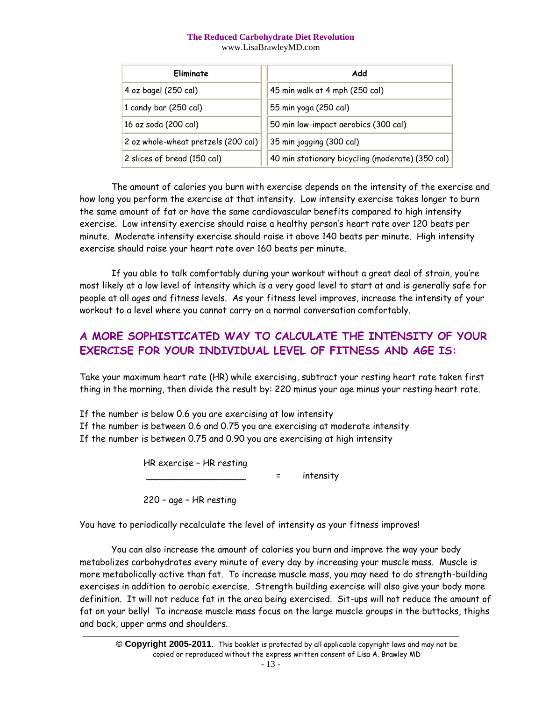| Eliminate                           | Add                                              |
|-------------------------------------|--------------------------------------------------|
| 4 oz bagel (250 cal)                | 45 min walk at 4 mph (250 cal)                   |
| 1 candy bar (250 cal)               | 55 min yoga (250 cal)                            |
| 16 oz soda (200 cal)                | 50 min low-impact aerobics (300 cal)             |
| 2 oz whole-wheat pretzels (200 cal) | 35 min jogging (300 cal)                         |
| 2 slices of bread (150 cal)         | 40 min stationary bicycling (moderate) (350 cal) |

The amount of calories you burn with exercise depends on the intensity of the exercise and how long you perform the exercise at that intensity. Low intensity exercise takes longer to burn the same amount of fat or have the same cardiovascular benefits compared to high intensity exercise. Low intensity exercise should raise a healthy person's heart rate over 120 beats per minute. Moderate intensity exercise should raise it above 140 beats per minute. High intensity exercise should raise your heart rate over 160 beats per minute.

If you able to talk comfortably during your workout without a great deal of strain, you're most likely at a low level of intensity which is a very good level to start at and is generally safe for people at all ages and fitness levels. As your fitness level improves, increase the intensity of your workout to a level where you cannot carry on a normal conversation comfortably.

# **A MORE SOPHISTICATED WAY TO CALCULATE THE INTENSITY OF YOUR EXERCISE FOR YOUR INDIVIDUAL LEVEL OF FITNESS AND AGE IS:**

Take your maximum heart rate (HR) while exercising, subtract your resting heart rate taken first thing in the morning, then divide the result by: 220 minus your age minus your resting heart rate.

If the number is below 0.6 you are exercising at low intensity If the number is between 0.6 and 0.75 you are exercising at moderate intensity If the number is between 0.75 and 0.90 you are exercising at high intensity

HR exercise – HR resting

= intensity

220 – age – HR resting

You have to periodically recalculate the level of intensity as your fitness improves!

You can also increase the amount of calories you burn and improve the way your body metabolizes carbohydrates every minute of every day by increasing your muscle mass. Muscle is more metabolically active than fat. To increase muscle mass, you may need to do strength-building exercises in addition to aerobic exercise. Strength building exercise will also give your body more definition. It will not reduce fat in the area being exercised. Sit-ups will not reduce the amount of fat on your belly! To increase muscle mass focus on the large muscle groups in the buttocks, thighs and back, upper arms and shoulders.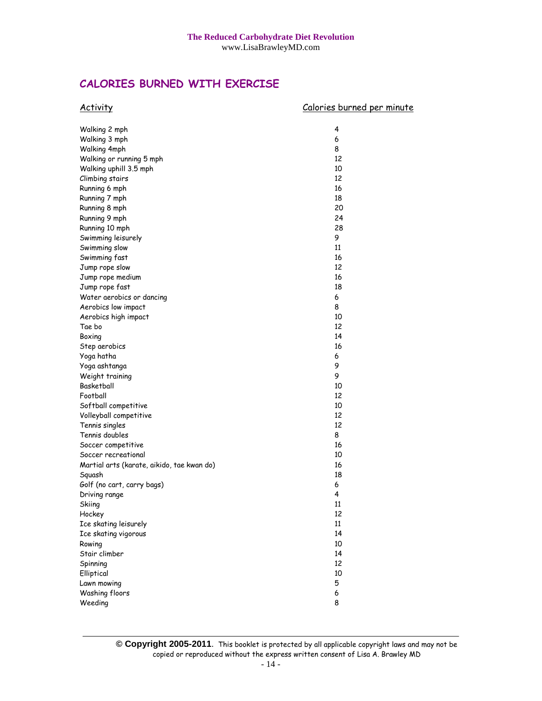## **CALORIES BURNED WITH EXERCISE**

| <b>Activity</b>                            | Calories burned per minute |
|--------------------------------------------|----------------------------|
| Walking 2 mph                              | 4                          |
| Walking 3 mph                              | 6                          |
| Walking 4mph                               | 8                          |
| Walking or running 5 mph                   | 12                         |
| Walking uphill 3.5 mph                     | 10                         |
| Climbing stairs                            | 12                         |
| Running 6 mph                              | 16                         |
| Running 7 mph                              | 18                         |
| Running 8 mph                              | 20                         |
| Running 9 mph                              | 24                         |
| Running 10 mph                             | 28                         |
| Swimming leisurely                         | 9                          |
| Swimming slow                              | 11                         |
| Swimming fast                              | 16                         |
| Jump rope slow                             | 12                         |
| Jump rope medium                           | 16                         |
| Jump rope fast                             | 18                         |
| Water aerobics or dancing                  | 6                          |
| Aerobics low impact                        | 8                          |
| Aerobics high impact                       | 10                         |
| Tae bo                                     | 12                         |
| Boxing                                     | 14                         |
| Step aerobics                              | 16                         |
| Yoga hatha                                 | 6                          |
| Yoga ashtanga                              | 9                          |
| Weight training                            | 9                          |
| Basketball                                 | 10                         |
| Football                                   | 12                         |
| Softball competitive                       | 10                         |
| Volleyball competitive                     | 12                         |
| Tennis singles                             | 12                         |
| Tennis doubles                             | 8                          |
| Soccer competitive                         | 16                         |
| Soccer recreational                        | 10                         |
| Martial arts (karate, aikido, tae kwan do) | 16                         |
| Squash                                     | 18                         |
| Golf (no cart, carry bags)                 | 6                          |
| Driving range                              | 4                          |
| Skiing                                     | 11                         |
| Hockey                                     | 12                         |
| Ice skating leisurely                      | 11                         |
| Ice skating vigorous                       | 14                         |
| Rowing                                     | 10                         |
| Stair climber                              | 14                         |
| Spinning                                   | 12                         |
| Elliptical                                 | 10                         |
| Lawn mowing                                | 5                          |
| Washing floors                             | 6                          |
| Weeding                                    | 8                          |

**© Copyright 2005-2011**. This booklet is protected by all applicable copyright laws and may not be copied or reproduced without the express written consent of Lisa A. Brawley MD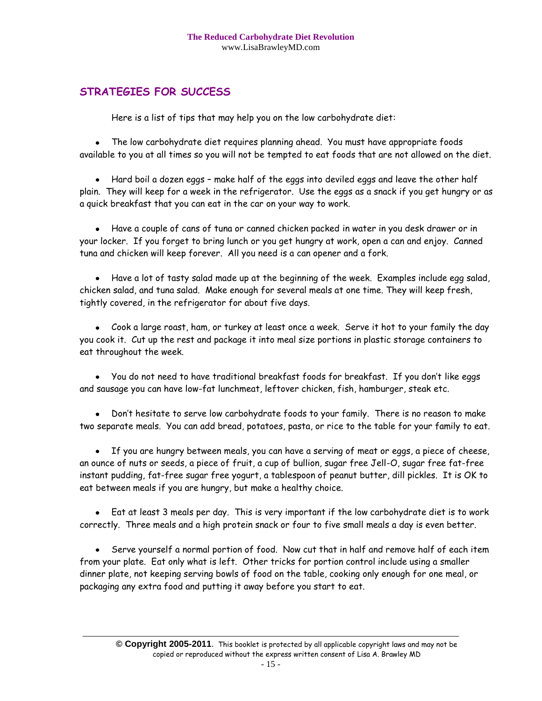# **STRATEGIES FOR SUCCESS**

Here is a list of tips that may help you on the low carbohydrate diet:

The low carbohydrate diet requires planning ahead. You must have appropriate foods available to you at all times so you will not be tempted to eat foods that are not allowed on the diet.

Hard boil a dozen eggs – make half of the eggs into deviled eggs and leave the other half plain. They will keep for a week in the refrigerator. Use the eggs as a snack if you get hungry or as a quick breakfast that you can eat in the car on your way to work.

Have a couple of cans of tuna or canned chicken packed in water in you desk drawer or in your locker. If you forget to bring lunch or you get hungry at work, open a can and enjoy. Canned tuna and chicken will keep forever. All you need is a can opener and a fork.

Have a lot of tasty salad made up at the beginning of the week. Examples include egg salad, chicken salad, and tuna salad. Make enough for several meals at one time. They will keep fresh, tightly covered, in the refrigerator for about five days.

Cook a large roast, ham, or turkey at least once a week. Serve it hot to your family the day you cook it. Cut up the rest and package it into meal size portions in plastic storage containers to eat throughout the week.

You do not need to have traditional breakfast foods for breakfast. If you don't like eggs and sausage you can have low-fat lunchmeat, leftover chicken, fish, hamburger, steak etc.

Don't hesitate to serve low carbohydrate foods to your family. There is no reason to make two separate meals. You can add bread, potatoes, pasta, or rice to the table for your family to eat.

If you are hungry between meals, you can have a serving of meat or eggs, a piece of cheese, an ounce of nuts or seeds, a piece of fruit, a cup of bullion, sugar free Jell-O, sugar free fat-free instant pudding, fat-free sugar free yogurt, a tablespoon of peanut butter, dill pickles. It is OK to eat between meals if you are hungry, but make a healthy choice.

Eat at least 3 meals per day. This is very important if the low carbohydrate diet is to work correctly. Three meals and a high protein snack or four to five small meals a day is even better.

Serve yourself a normal portion of food. Now cut that in half and remove half of each item  $\bullet$ from your plate. Eat only what is left. Other tricks for portion control include using a smaller dinner plate, not keeping serving bowls of food on the table, cooking only enough for one meal, or packaging any extra food and putting it away before you start to eat.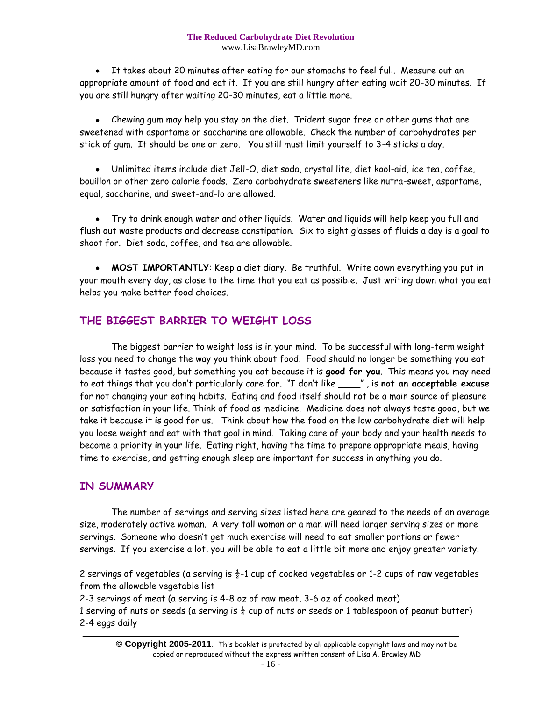It takes about 20 minutes after eating for our stomachs to feel full. Measure out an appropriate amount of food and eat it. If you are still hungry after eating wait 20-30 minutes. If you are still hungry after waiting 20-30 minutes, eat a little more.

Chewing gum may help you stay on the diet. Trident sugar free or other gums that are  $\bullet$ sweetened with aspartame or saccharine are allowable. Check the number of carbohydrates per stick of gum. It should be one or zero. You still must limit yourself to 3-4 sticks a day.

Unlimited items include diet Jell-O, diet soda, crystal lite, diet kool-aid, ice tea, coffee, bouillon or other zero calorie foods. Zero carbohydrate sweeteners like nutra-sweet, aspartame, equal, saccharine, and sweet-and-lo are allowed.

Try to drink enough water and other liquids. Water and liquids will help keep you full and flush out waste products and decrease constipation. Six to eight glasses of fluids a day is a goal to shoot for. Diet soda, coffee, and tea are allowable.

• MOST IMPORTANTLY: Keep a diet diary. Be truthful. Write down everything you put in your mouth every day, as close to the time that you eat as possible. Just writing down what you eat helps you make better food choices.

# **THE BIGGEST BARRIER TO WEIGHT LOSS**

The biggest barrier to weight loss is in your mind. To be successful with long-term weight loss you need to change the way you think about food. Food should no longer be something you eat because it tastes good, but something you eat because it is **good for you**. This means you may need to eat things that you don't particularly care for. "I don't like \_\_\_\_" , is **not an acceptable excuse** for not changing your eating habits. Eating and food itself should not be a main source of pleasure or satisfaction in your life. Think of food as medicine. Medicine does not always taste good, but we take it because it is good for us. Think about how the food on the low carbohydrate diet will help you loose weight and eat with that goal in mind. Taking care of your body and your health needs to become a priority in your life. Eating right, having the time to prepare appropriate meals, having time to exercise, and getting enough sleep are important for success in anything you do.

## **IN SUMMARY**

The number of servings and serving sizes listed here are geared to the needs of an average size, moderately active woman. A very tall woman or a man will need larger serving sizes or more servings. Someone who doesn't get much exercise will need to eat smaller portions or fewer servings. If you exercise a lot, you will be able to eat a little bit more and enjoy greater variety.

2 servings of vegetables (a serving is  $\frac{1}{2}$ -1 cup of cooked vegetables or 1-2 cups of raw vegetables from the allowable vegetable list

2-3 servings of meat (a serving is 4-8 oz of raw meat, 3-6 oz of cooked meat)

1 serving of nuts or seeds (a serving is  $\frac{1}{4}$  cup of nuts or seeds or 1 tablespoon of peanut butter) 2-4 eggs daily